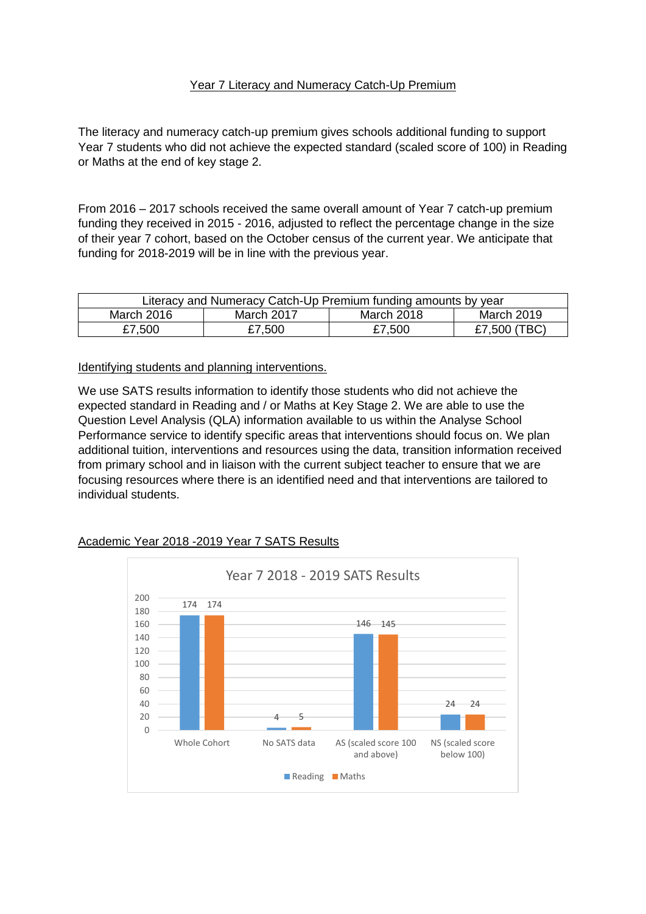### Year 7 Literacy and Numeracy Catch-Up Premium

The literacy and numeracy catch-up premium gives schools additional funding to support Year 7 students who did not achieve the expected standard (scaled score of 100) in Reading or Maths at the end of key stage 2.

From 2016 – 2017 schools received the same overall amount of Year 7 catch-up premium funding they received in 2015 - 2016, adjusted to reflect the percentage change in the size of their year 7 cohort, based on the October census of the current year. We anticipate that funding for 2018-2019 will be in line with the previous year.

| Literacy and Numeracy Catch-Up Premium funding amounts by year |            |            |              |
|----------------------------------------------------------------|------------|------------|--------------|
| March 2016                                                     | March 2017 | March 2018 | March 2019   |
| £7,500                                                         | £7,500     | £7,500     | £7,500 (TBC) |

Identifying students and planning interventions.

We use SATS results information to identify those students who did not achieve the expected standard in Reading and / or Maths at Key Stage 2. We are able to use the Question Level Analysis (QLA) information available to us within the Analyse School Performance service to identify specific areas that interventions should focus on. We plan additional tuition, interventions and resources using the data, transition information received from primary school and in liaison with the current subject teacher to ensure that we are focusing resources where there is an identified need and that interventions are tailored to individual students.

## Academic Year 2018 -2019 Year 7 SATS Results

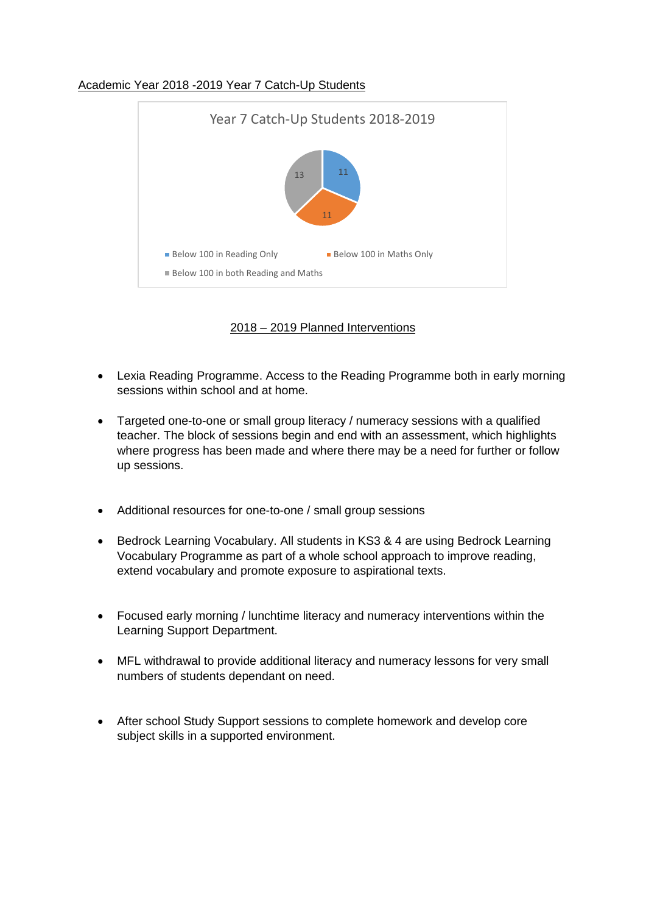### Academic Year 2018 -2019 Year 7 Catch-Up Students



2018 – 2019 Planned Interventions

- Lexia Reading Programme. Access to the Reading Programme both in early morning sessions within school and at home.
- Targeted one-to-one or small group literacy / numeracy sessions with a qualified teacher. The block of sessions begin and end with an assessment, which highlights where progress has been made and where there may be a need for further or follow up sessions.
- Additional resources for one-to-one / small group sessions
- Bedrock Learning Vocabulary. All students in KS3 & 4 are using Bedrock Learning Vocabulary Programme as part of a whole school approach to improve reading, extend vocabulary and promote exposure to aspirational texts.
- Focused early morning / lunchtime literacy and numeracy interventions within the Learning Support Department.
- MFL withdrawal to provide additional literacy and numeracy lessons for very small numbers of students dependant on need.
- After school Study Support sessions to complete homework and develop core subject skills in a supported environment.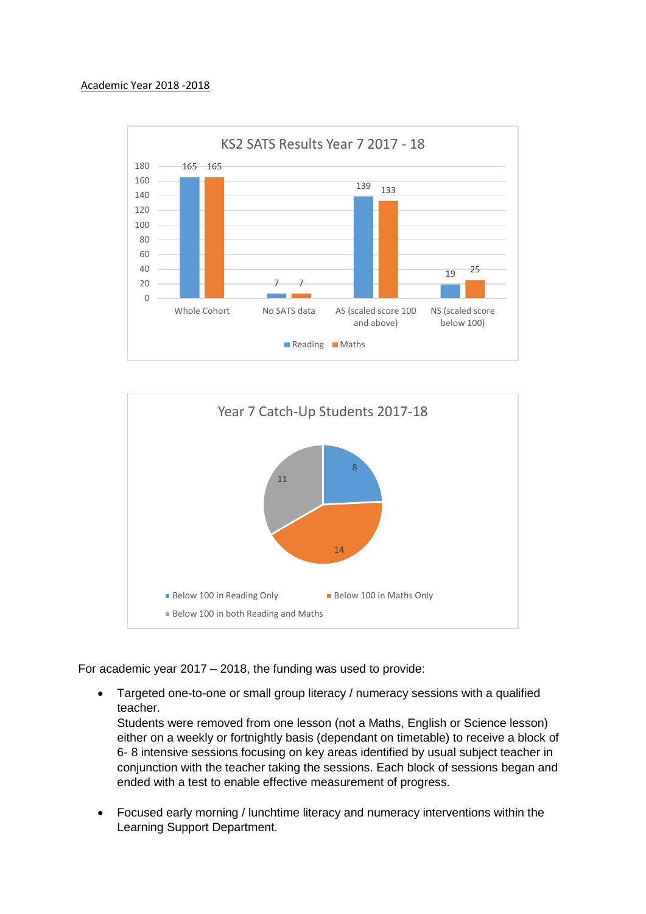#### Academic Year 2018 -2018





For academic year 2017 – 2018, the funding was used to provide:

 Targeted one-to-one or small group literacy / numeracy sessions with a qualified teacher.

Students were removed from one lesson (not a Maths, English or Science lesson) either on a weekly or fortnightly basis (dependant on timetable) to receive a block of 6- 8 intensive sessions focusing on key areas identified by usual subject teacher in conjunction with the teacher taking the sessions. Each block of sessions began and ended with a test to enable effective measurement of progress.

 Focused early morning / lunchtime literacy and numeracy interventions within the Learning Support Department.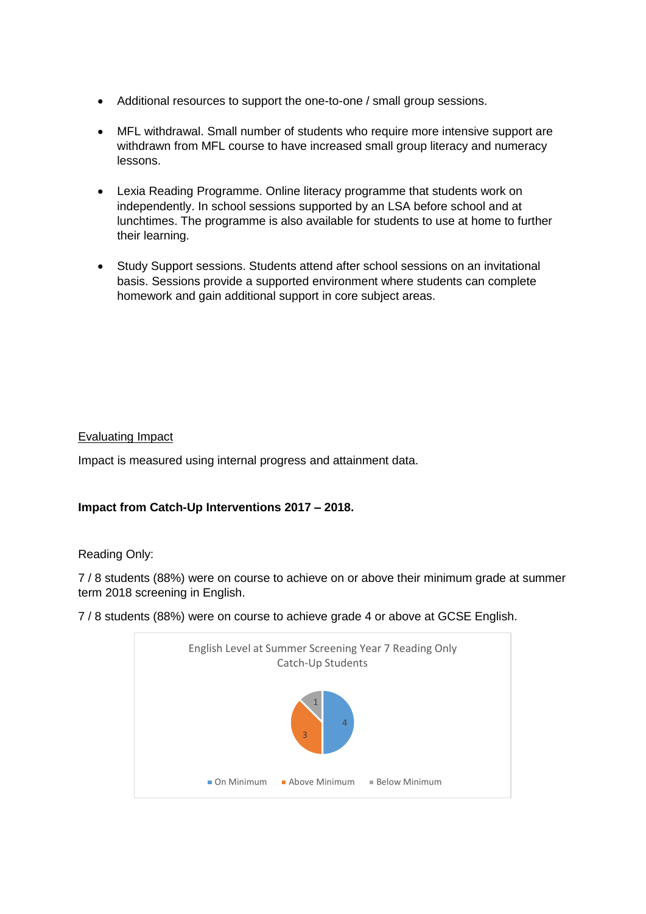- Additional resources to support the one-to-one / small group sessions.
- MFL withdrawal. Small number of students who require more intensive support are withdrawn from MFL course to have increased small group literacy and numeracy lessons.
- Lexia Reading Programme. Online literacy programme that students work on independently. In school sessions supported by an LSA before school and at lunchtimes. The programme is also available for students to use at home to further their learning.
- Study Support sessions. Students attend after school sessions on an invitational basis. Sessions provide a supported environment where students can complete homework and gain additional support in core subject areas.

# Evaluating Impact

Impact is measured using internal progress and attainment data.

## **Impact from Catch-Up Interventions 2017 – 2018.**

## Reading Only:

7 / 8 students (88%) were on course to achieve on or above their minimum grade at summer term 2018 screening in English.

7 / 8 students (88%) were on course to achieve grade 4 or above at GCSE English.

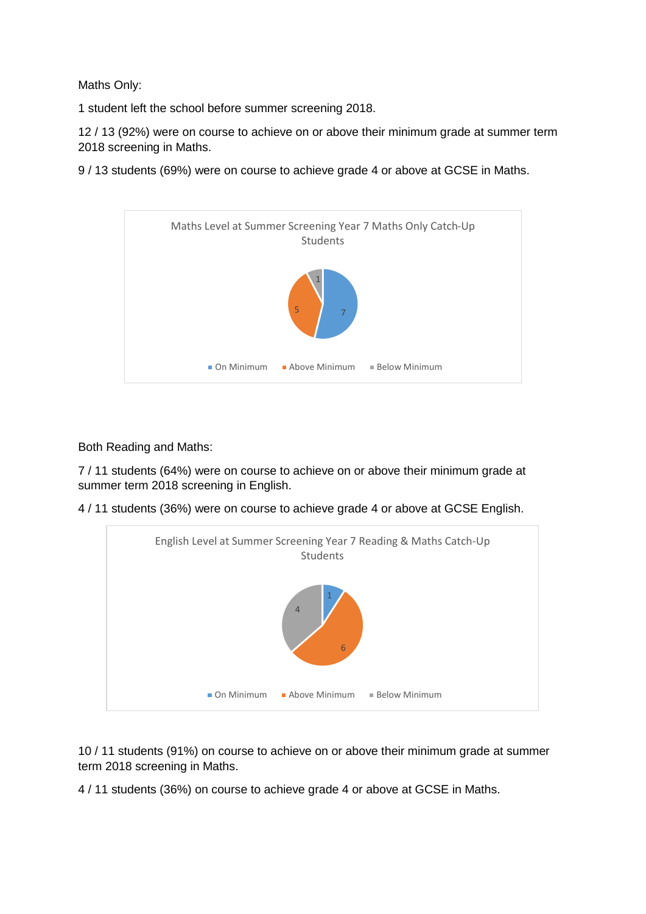Maths Only:

1 student left the school before summer screening 2018.

12 / 13 (92%) were on course to achieve on or above their minimum grade at summer term 2018 screening in Maths.

9 / 13 students (69%) were on course to achieve grade 4 or above at GCSE in Maths.



Both Reading and Maths:

7 / 11 students (64%) were on course to achieve on or above their minimum grade at summer term 2018 screening in English.

4 / 11 students (36%) were on course to achieve grade 4 or above at GCSE English.



10 / 11 students (91%) on course to achieve on or above their minimum grade at summer term 2018 screening in Maths.

4 / 11 students (36%) on course to achieve grade 4 or above at GCSE in Maths.